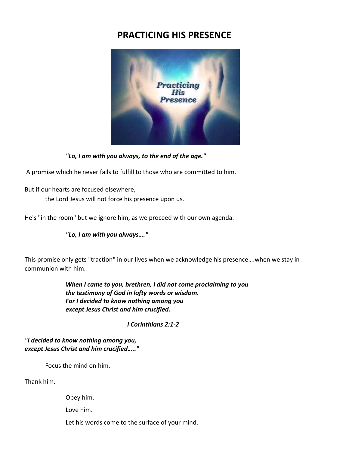## **PRACTICING HIS PRESENCE**



*"Lo, I am with you always, to the end of the age."*

A promise which he never fails to fulfill to those who are committed to him.

But if our hearts are focused elsewhere,

the Lord Jesus will not force his presence upon us.

He's "in the room" but we ignore him, as we proceed with our own agenda.

*"Lo, I am with you always…."*

This promise only gets "traction" in our lives when we acknowledge his presence….when we stay in communion with him.

> *When I came to you, brethren, I did not come proclaiming to you the testimony of God in lofty words or wisdom. For I decided to know nothing among you except Jesus Christ and him crucified.*

> > *I Corinthians 2:1-2*

*"I decided to know nothing among you, except Jesus Christ and him crucified….."*

Focus the mind on him.

Thank him.

Obey him.

Love him.

Let his words come to the surface of your mind.